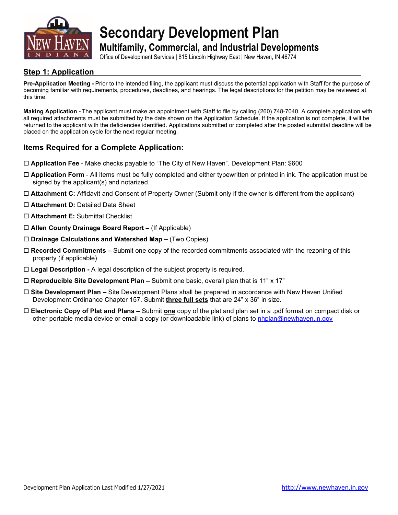

**Secondary Development Plan**

**Multifamily, Commercial, and Industrial Developments**

Office of Development Services | 815 Lincoln Highway East | New Haven, IN 46774

## **Step 1: Application**

**Pre-Application Meeting -** Prior to the intended filing, the applicant must discuss the potential application with Staff for the purpose of becoming familiar with requirements, procedures, deadlines, and hearings. The legal descriptions for the petition may be reviewed at this time.

**Making Application -** The applicant must make an appointment with Staff to file by calling (260) 748-7040. A complete application with all required attachments must be submitted by the date shown on the Application Schedule. If the application is not complete, it will be returned to the applicant with the deficiencies identified. Applications submitted or completed after the posted submittal deadline will be placed on the application cycle for the next regular meeting.

## **Items Required for a Complete Application:**

- **Application Fee** Make checks payable to "The City of New Haven". Development Plan: \$600
- **Application Form** All items must be fully completed and either typewritten or printed in ink. The application must be signed by the applicant(s) and notarized.
- **Attachment C:** Affidavit and Consent of Property Owner (Submit only if the owner is different from the applicant)
- **Attachment D:** Detailed Data Sheet
- **Attachment E:** Submittal Checklist
- **Allen County Drainage Board Report –** (If Applicable)
- **Drainage Calculations and Watershed Map –** (Two Copies)
- **Recorded Commitments –** Submit one copy of the recorded commitments associated with the rezoning of this property (if applicable)
- **Legal Description -** A legal description of the subject property is required.
- **Reproducible Site Development Plan –** Submit one basic, overall plan that is 11" x 17"
- **Site Development Plan –** Site Development Plans shall be prepared in accordance with New Haven Unified Development Ordinance Chapter 157. Submit **three full sets** that are 24" x 36" in size.
- **Electronic Copy of Plat and Plans –** Submit **one** copy of the plat and plan set in a .pdf format on compact disk or other portable media device or email a copy (or downloadable link) of plans to [nhplan@newhaven.in.gov](mailto:nhplan@newhaven.in.gov)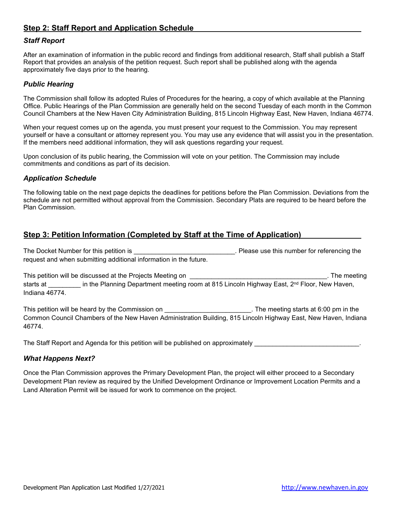## **Step 2: Staff Report and Application Schedule**

#### *Staff Report*

After an examination of information in the public record and findings from additional research, Staff shall publish a Staff Report that provides an analysis of the petition request. Such report shall be published along with the agenda approximately five days prior to the hearing.

#### *Public Hearing*

The Commission shall follow its adopted Rules of Procedures for the hearing, a copy of which available at the Planning Office. Public Hearings of the Plan Commission are generally held on the second Tuesday of each month in the Common Council Chambers at the New Haven City Administration Building, 815 Lincoln Highway East, New Haven, Indiana 46774.

When your request comes up on the agenda, you must present your request to the Commission. You may represent yourself or have a consultant or attorney represent you. You may use any evidence that will assist you in the presentation. If the members need additional information, they will ask questions regarding your request.

Upon conclusion of its public hearing, the Commission will vote on your petition. The Commission may include commitments and conditions as part of its decision.

#### *Application Schedule*

The following table on the next page depicts the deadlines for petitions before the Plan Commission. Deviations from the schedule are not permitted without approval from the Commission. Secondary Plats are required to be heard before the Plan Commission.

## **Step 3: Petition Information (Completed by Staff at the Time of Application)**

The Docket Number for this petition is \_\_\_\_\_\_\_\_\_\_\_\_\_\_\_\_\_\_\_\_\_\_\_\_\_\_\_\_. Please use this number for referencing the request and when submitting additional information in the future.

This petition will be discussed at the Projects Meeting on **will be a setting on** the meeting on the meeting of the meeting starts at \_\_\_\_\_\_\_\_\_ in the Planning Department meeting room at 815 Lincoln Highway East, 2<sup>nd</sup> Floor, New Haven, Indiana 46774.

This petition will be heard by the Commission on \_\_\_\_\_\_\_\_\_\_\_\_\_\_\_\_\_\_\_\_\_\_\_\_\_\_\_. The meeting starts at 6:00 pm in the Common Council Chambers of the New Haven Administration Building, 815 Lincoln Highway East, New Haven, Indiana 46774.

The Staff Report and Agenda for this petition will be published on approximately

#### *What Happens Next?*

Once the Plan Commission approves the Primary Development Plan, the project will either proceed to a Secondary Development Plan review as required by the Unified Development Ordinance or Improvement Location Permits and a Land Alteration Permit will be issued for work to commence on the project.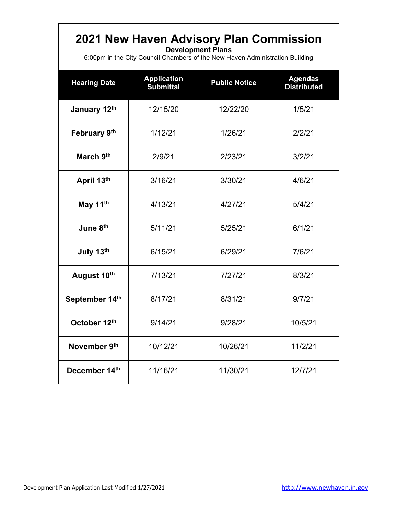# **2021 New Haven Advisory Plan Commission**

**Development Plans**

6:00pm in the City Council Chambers of the New Haven Administration Building

| <b>Hearing Date</b> | <b>Application</b><br><b>Submittal</b> | <b>Public Notice</b> | <b>Agendas</b><br><b>Distributed</b> |
|---------------------|----------------------------------------|----------------------|--------------------------------------|
| January 12th        | 12/15/20                               | 12/22/20             | 1/5/21                               |
| February 9th        | 1/12/21                                | 1/26/21              | 2/2/21                               |
| March 9th           | 2/9/21                                 | 2/23/21              | 3/2/21                               |
| April 13th          | 3/16/21                                | 3/30/21              | 4/6/21                               |
| May 11th            | 4/13/21                                | 4/27/21              | 5/4/21                               |
| June 8th            | 5/11/21                                | 5/25/21              | 6/1/21                               |
| July 13th           | 6/15/21                                | 6/29/21              | 7/6/21                               |
| August 10th         | 7/13/21                                | 7/27/21              | 8/3/21                               |
| September 14th      | 8/17/21                                | 8/31/21              | 9/7/21                               |
| October 12th        | 9/14/21                                | 9/28/21              | 10/5/21                              |
| November 9th        | 10/12/21                               | 10/26/21             | 11/2/21                              |
| December 14th       | 11/16/21                               | 11/30/21             | 12/7/21                              |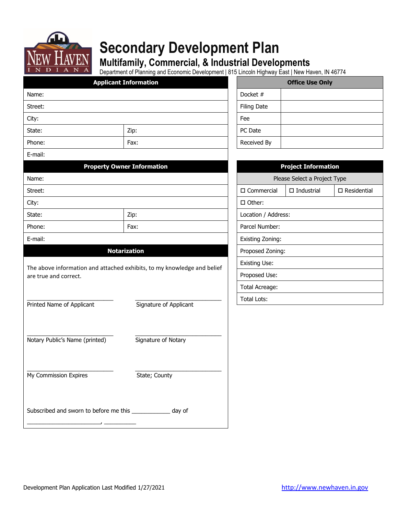

# **Secondary Development Plan**

# **Multifamily, Commercial, & Industrial Developments**

Department of Planning and Economic Development | 815 Lincoln Highway East | New Haven, IN 46774

|                                                | Department of Flaming and Economic Development   015 Ellicolii Highway East   New Haven, 1N 40774 |  |                  |                      |                              |                       |
|------------------------------------------------|---------------------------------------------------------------------------------------------------|--|------------------|----------------------|------------------------------|-----------------------|
|                                                | <b>Applicant Information</b>                                                                      |  |                  |                      | <b>Office Use Only</b>       |                       |
| Name:                                          |                                                                                                   |  |                  | Docket #             |                              |                       |
| Street:                                        |                                                                                                   |  |                  | <b>Filing Date</b>   |                              |                       |
| City:                                          |                                                                                                   |  |                  | Fee                  |                              |                       |
| State:                                         | Zip:                                                                                              |  |                  | PC Date              |                              |                       |
| Phone:                                         | Fax:                                                                                              |  |                  | Received By          |                              |                       |
| E-mail:                                        |                                                                                                   |  |                  |                      |                              |                       |
|                                                | <b>Property Owner Information</b>                                                                 |  |                  |                      | <b>Project Information</b>   |                       |
| Name:                                          |                                                                                                   |  |                  |                      | Please Select a Project Type |                       |
| Street:                                        |                                                                                                   |  |                  | $\square$ Commercial | $\Box$ Industrial            | $\square$ Residential |
| City:                                          |                                                                                                   |  |                  | $\Box$ Other:        |                              |                       |
| State:                                         | Zip:                                                                                              |  |                  | Location / Address:  |                              |                       |
| Phone:                                         | Fax:                                                                                              |  | Parcel Number:   |                      |                              |                       |
| E-mail:                                        |                                                                                                   |  | Existing Zoning: |                      |                              |                       |
|                                                | <b>Notarization</b>                                                                               |  |                  | Proposed Zoning:     |                              |                       |
|                                                | The above information and attached exhibits, to my knowledge and belief                           |  |                  | <b>Existing Use:</b> |                              |                       |
| are true and correct.                          |                                                                                                   |  | Proposed Use:    |                      |                              |                       |
|                                                |                                                                                                   |  | Total Acreage:   |                      |                              |                       |
| Printed Name of Applicant                      | Signature of Applicant                                                                            |  |                  | Total Lots:          |                              |                       |
|                                                |                                                                                                   |  |                  |                      |                              |                       |
|                                                |                                                                                                   |  |                  |                      |                              |                       |
| Notary Public's Name (printed)                 | Signature of Notary                                                                               |  |                  |                      |                              |                       |
|                                                |                                                                                                   |  |                  |                      |                              |                       |
| My Commission Expires                          | State; County                                                                                     |  |                  |                      |                              |                       |
|                                                |                                                                                                   |  |                  |                      |                              |                       |
| Subscribed and sworn to before me this _______ | day of                                                                                            |  |                  |                      |                              |                       |

| <b>Office Use Only</b> |  |  |
|------------------------|--|--|
| Docket #               |  |  |
| <b>Filing Date</b>     |  |  |
| Fee                    |  |  |
| PC Date                |  |  |
| Received By            |  |  |

| <b>Project Information</b>   |                   |                       |  |  |
|------------------------------|-------------------|-----------------------|--|--|
| Please Select a Project Type |                   |                       |  |  |
| $\Box$ Commercial            | $\Box$ Industrial | $\square$ Residential |  |  |
| $\square$ Other:             |                   |                       |  |  |
| Location / Address:          |                   |                       |  |  |
| Parcel Number:               |                   |                       |  |  |
| Existing Zoning:             |                   |                       |  |  |
| Proposed Zoning:             |                   |                       |  |  |
| Existing Use:                |                   |                       |  |  |
| Proposed Use:                |                   |                       |  |  |
| Total Acreage:               |                   |                       |  |  |
| Total Lots:                  |                   |                       |  |  |

\_\_\_\_\_\_\_\_\_\_\_\_\_\_\_\_\_\_\_\_\_\_\_, \_\_\_\_\_\_\_\_\_\_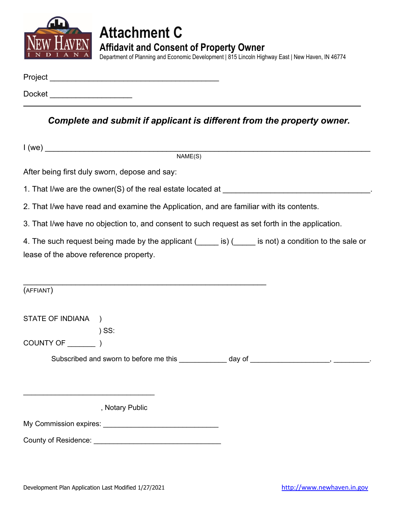

# **Attachment C Affidavit and Consent of Property Owner**

Department of Planning and Economic Development | 815 Lincoln Highway East | New Haven, IN 46774

| Project |  |  |  |
|---------|--|--|--|
| Docket  |  |  |  |

*Complete and submit if applicant is different from the property owner.*

|                                        | NAME(S)                                                                                         |  |                                                                                                        |  |  |  |
|----------------------------------------|-------------------------------------------------------------------------------------------------|--|--------------------------------------------------------------------------------------------------------|--|--|--|
|                                        | After being first duly sworn, depose and say:                                                   |  |                                                                                                        |  |  |  |
|                                        |                                                                                                 |  |                                                                                                        |  |  |  |
|                                        | 2. That I/we have read and examine the Application, and are familiar with its contents.         |  |                                                                                                        |  |  |  |
|                                        | 3. That I/we have no objection to, and consent to such request as set forth in the application. |  |                                                                                                        |  |  |  |
|                                        |                                                                                                 |  | 4. The such request being made by the applicant (incore is) (incore is not) a condition to the sale or |  |  |  |
| lease of the above reference property. |                                                                                                 |  |                                                                                                        |  |  |  |
|                                        |                                                                                                 |  |                                                                                                        |  |  |  |
| (AFFIANT)                              |                                                                                                 |  |                                                                                                        |  |  |  |
| STATE OF INDIANA                       | $\rightarrow$                                                                                   |  |                                                                                                        |  |  |  |
|                                        | $)$ SS:                                                                                         |  |                                                                                                        |  |  |  |
|                                        |                                                                                                 |  |                                                                                                        |  |  |  |
|                                        |                                                                                                 |  | Subscribed and sworn to before me this ____________ day of _____________________, __________.          |  |  |  |
|                                        |                                                                                                 |  |                                                                                                        |  |  |  |
|                                        |                                                                                                 |  |                                                                                                        |  |  |  |
|                                        | , Notary Public                                                                                 |  |                                                                                                        |  |  |  |
|                                        |                                                                                                 |  |                                                                                                        |  |  |  |
| <b>County of Residence:</b>            |                                                                                                 |  |                                                                                                        |  |  |  |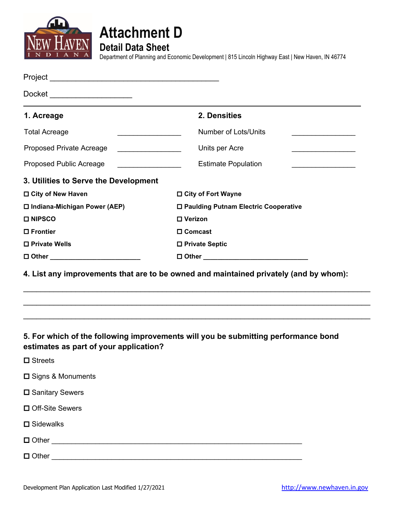



**Detail Data Sheet**

Department of Planning and Economic Development | 815 Lincoln Highway East | New Haven, IN 46774

| Docket _______________________         |                                                                                                                   |  |
|----------------------------------------|-------------------------------------------------------------------------------------------------------------------|--|
| 1. Acreage                             | 2. Densities                                                                                                      |  |
| <b>Total Acreage</b>                   | <b>Number of Lots/Units</b>                                                                                       |  |
| Proposed Private Acreage               | Units per Acre                                                                                                    |  |
| Proposed Public Acreage                | <b>Estimate Population</b><br><u> 1989 - Johann Barbara, martxa al</u><br><u> 1989 - Johann Barbara, martin a</u> |  |
| 3. Utilities to Serve the Development  |                                                                                                                   |  |
| □ City of New Haven                    | □ City of Fort Wayne                                                                                              |  |
| □ Indiana-Michigan Power (AEP)         | □ Paulding Putnam Electric Cooperative                                                                            |  |
| <b>□ NIPSCO</b>                        | □ Verizon                                                                                                         |  |
| □ Frontier                             | □ Comcast                                                                                                         |  |
| □ Private Wells                        | □ Private Septic                                                                                                  |  |
| □ Other __________________________     |                                                                                                                   |  |
|                                        | 4. List any improvements that are to be owned and maintained privately (and by whom):                             |  |
| estimates as part of your application? | 5. For which of the following improvements will you be submitting performance bond                                |  |
| $\square$ Streets                      |                                                                                                                   |  |
| <b>□</b> Signs & Monuments             |                                                                                                                   |  |
| <b>□</b> Sanitary Sewers               |                                                                                                                   |  |
| □ Off-Site Sewers                      |                                                                                                                   |  |
|                                        |                                                                                                                   |  |

**□** Sidewalks

Other \_\_\_\_\_\_\_\_\_\_\_\_\_\_\_\_\_\_\_\_\_\_\_\_\_\_\_\_\_\_\_\_\_\_\_\_\_\_\_\_\_\_\_\_\_\_\_\_\_\_\_\_\_\_\_\_\_\_\_\_\_\_\_

Other \_\_\_\_\_\_\_\_\_\_\_\_\_\_\_\_\_\_\_\_\_\_\_\_\_\_\_\_\_\_\_\_\_\_\_\_\_\_\_\_\_\_\_\_\_\_\_\_\_\_\_\_\_\_\_\_\_\_\_\_\_\_\_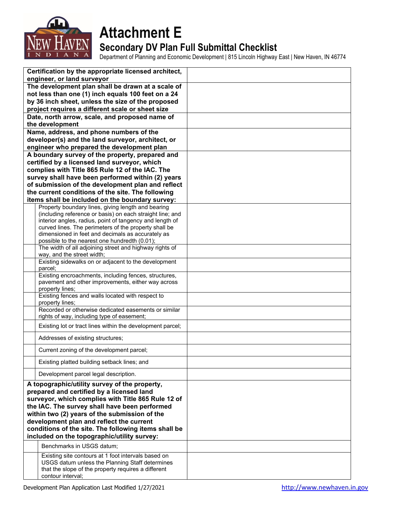

# **Attachment E Secondary DV Plan Full Submittal Checklist**

Department of Planning and Economic Development | 815 Lincoln Highway East | New Haven, IN 46774

| Certification by the appropriate licensed architect,<br>engineer, or land surveyor                                                                                                                                                                                                                                                                                                                    |                                                                                                                                                                                    |  |
|-------------------------------------------------------------------------------------------------------------------------------------------------------------------------------------------------------------------------------------------------------------------------------------------------------------------------------------------------------------------------------------------------------|------------------------------------------------------------------------------------------------------------------------------------------------------------------------------------|--|
| The development plan shall be drawn at a scale of                                                                                                                                                                                                                                                                                                                                                     |                                                                                                                                                                                    |  |
| not less than one (1) inch equals 100 feet on a 24                                                                                                                                                                                                                                                                                                                                                    |                                                                                                                                                                                    |  |
| by 36 inch sheet, unless the size of the proposed                                                                                                                                                                                                                                                                                                                                                     |                                                                                                                                                                                    |  |
|                                                                                                                                                                                                                                                                                                                                                                                                       | project requires a different scale or sheet size                                                                                                                                   |  |
|                                                                                                                                                                                                                                                                                                                                                                                                       | Date, north arrow, scale, and proposed name of                                                                                                                                     |  |
|                                                                                                                                                                                                                                                                                                                                                                                                       | the development                                                                                                                                                                    |  |
|                                                                                                                                                                                                                                                                                                                                                                                                       | Name, address, and phone numbers of the                                                                                                                                            |  |
|                                                                                                                                                                                                                                                                                                                                                                                                       | developer(s) and the land surveyor, architect, or                                                                                                                                  |  |
|                                                                                                                                                                                                                                                                                                                                                                                                       | engineer who prepared the development plan                                                                                                                                         |  |
|                                                                                                                                                                                                                                                                                                                                                                                                       | A boundary survey of the property, prepared and<br>certified by a licensed land surveyor, which                                                                                    |  |
|                                                                                                                                                                                                                                                                                                                                                                                                       | complies with Title 865 Rule 12 of the IAC. The                                                                                                                                    |  |
|                                                                                                                                                                                                                                                                                                                                                                                                       | survey shall have been performed within (2) years                                                                                                                                  |  |
|                                                                                                                                                                                                                                                                                                                                                                                                       | of submission of the development plan and reflect                                                                                                                                  |  |
|                                                                                                                                                                                                                                                                                                                                                                                                       | the current conditions of the site. The following                                                                                                                                  |  |
|                                                                                                                                                                                                                                                                                                                                                                                                       | items shall be included on the boundary survey:                                                                                                                                    |  |
|                                                                                                                                                                                                                                                                                                                                                                                                       | Property boundary lines, giving length and bearing                                                                                                                                 |  |
|                                                                                                                                                                                                                                                                                                                                                                                                       | (including reference or basis) on each straight line; and<br>interior angles, radius, point of tangency and length of                                                              |  |
|                                                                                                                                                                                                                                                                                                                                                                                                       | curved lines. The perimeters of the property shall be                                                                                                                              |  |
|                                                                                                                                                                                                                                                                                                                                                                                                       | dimensioned in feet and decimals as accurately as                                                                                                                                  |  |
|                                                                                                                                                                                                                                                                                                                                                                                                       | possible to the nearest one hundredth (0.01);                                                                                                                                      |  |
|                                                                                                                                                                                                                                                                                                                                                                                                       | The width of all adjoining street and highway rights of<br>way, and the street width;                                                                                              |  |
|                                                                                                                                                                                                                                                                                                                                                                                                       | Existing sidewalks on or adjacent to the development<br>parcel;                                                                                                                    |  |
|                                                                                                                                                                                                                                                                                                                                                                                                       | Existing encroachments, including fences, structures,<br>pavement and other improvements, either way across                                                                        |  |
|                                                                                                                                                                                                                                                                                                                                                                                                       | property lines;                                                                                                                                                                    |  |
|                                                                                                                                                                                                                                                                                                                                                                                                       | Existing fences and walls located with respect to<br>property lines;                                                                                                               |  |
|                                                                                                                                                                                                                                                                                                                                                                                                       | Recorded or otherwise dedicated easements or similar<br>rights of way, including type of easement;                                                                                 |  |
|                                                                                                                                                                                                                                                                                                                                                                                                       | Existing lot or tract lines within the development parcel;                                                                                                                         |  |
|                                                                                                                                                                                                                                                                                                                                                                                                       | Addresses of existing structures;                                                                                                                                                  |  |
|                                                                                                                                                                                                                                                                                                                                                                                                       | Current zoning of the development parcel;                                                                                                                                          |  |
|                                                                                                                                                                                                                                                                                                                                                                                                       | Existing platted building setback lines; and                                                                                                                                       |  |
|                                                                                                                                                                                                                                                                                                                                                                                                       | Development parcel legal description.                                                                                                                                              |  |
| A topographic/utility survey of the property,<br>prepared and certified by a licensed land<br>surveyor, which complies with Title 865 Rule 12 of<br>the IAC. The survey shall have been performed<br>within two (2) years of the submission of the<br>development plan and reflect the current<br>conditions of the site. The following items shall be<br>included on the topographic/utility survey: |                                                                                                                                                                                    |  |
|                                                                                                                                                                                                                                                                                                                                                                                                       | Benchmarks in USGS datum;                                                                                                                                                          |  |
|                                                                                                                                                                                                                                                                                                                                                                                                       | Existing site contours at 1 foot intervals based on<br>USGS datum unless the Planning Staff determines<br>that the slope of the property requires a different<br>contour interval; |  |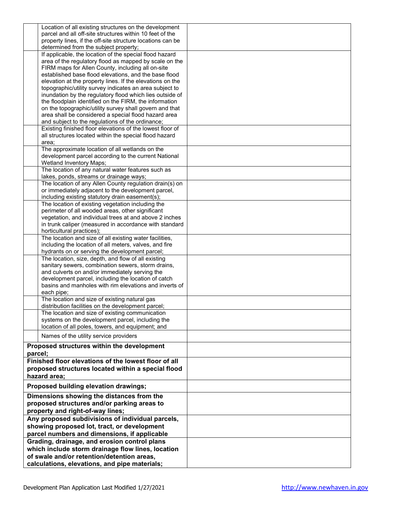|                                                  | Location of all existing structures on the development     |  |
|--------------------------------------------------|------------------------------------------------------------|--|
|                                                  | parcel and all off-site structures within 10 feet of the   |  |
|                                                  |                                                            |  |
|                                                  | property lines, if the off-site structure locations can be |  |
|                                                  | determined from the subject property;                      |  |
|                                                  | If applicable, the location of the special flood hazard    |  |
|                                                  | area of the regulatory flood as mapped by scale on the     |  |
|                                                  | FIRM maps for Allen County, including all on-site          |  |
|                                                  |                                                            |  |
|                                                  | established base flood elevations, and the base flood      |  |
|                                                  | elevation at the property lines. If the elevations on the  |  |
|                                                  | topographic/utility survey indicates an area subject to    |  |
|                                                  | inundation by the regulatory flood which lies outside of   |  |
|                                                  | the floodplain identified on the FIRM, the information     |  |
|                                                  | on the topographic/utility survey shall govern and that    |  |
|                                                  |                                                            |  |
|                                                  | area shall be considered a special flood hazard area       |  |
|                                                  | and subject to the regulations of the ordinance;           |  |
|                                                  | Existing finished floor elevations of the lowest floor of  |  |
|                                                  | all structures located within the special flood hazard     |  |
|                                                  | area;                                                      |  |
|                                                  |                                                            |  |
|                                                  | The approximate location of all wetlands on the            |  |
|                                                  | development parcel according to the current National       |  |
|                                                  | Wetland Inventory Maps;                                    |  |
|                                                  | The location of any natural water features such as         |  |
|                                                  | lakes, ponds, streams or drainage ways;                    |  |
|                                                  |                                                            |  |
|                                                  | The location of any Allen County regulation drain(s) on    |  |
|                                                  | or immediately adjacent to the development parcel,         |  |
|                                                  | including existing statutory drain easement(s);            |  |
|                                                  | The location of existing vegetation including the          |  |
|                                                  | perimeter of all wooded areas, other significant           |  |
|                                                  |                                                            |  |
|                                                  | vegetation, and individual trees at and above 2 inches     |  |
|                                                  | in trunk caliper (measured in accordance with standard     |  |
|                                                  | horticultural practices);                                  |  |
|                                                  | The location and size of all existing water facilities,    |  |
|                                                  | including the location of all meters, valves, and fire     |  |
|                                                  |                                                            |  |
|                                                  | hydrants on or serving the development parcel;             |  |
|                                                  | The location, size, depth, and flow of all existing        |  |
|                                                  | sanitary sewers, combination sewers, storm drains,         |  |
|                                                  | and culverts on and/or immediately serving the             |  |
|                                                  | development parcel, including the location of catch        |  |
|                                                  |                                                            |  |
|                                                  | basins and manholes with rim elevations and inverts of     |  |
|                                                  | each pipe;                                                 |  |
|                                                  | The location and size of existing natural gas              |  |
|                                                  | distribution facilities on the development parcel;         |  |
|                                                  | The location and size of existing communication            |  |
|                                                  |                                                            |  |
|                                                  | systems on the development parcel, including the           |  |
|                                                  | location of all poles, towers, and equipment; and          |  |
|                                                  |                                                            |  |
|                                                  | Names of the utility service providers                     |  |
|                                                  | Proposed structures within the development                 |  |
| parcel;                                          |                                                            |  |
|                                                  |                                                            |  |
|                                                  | Finished floor elevations of the lowest floor of all       |  |
|                                                  | proposed structures located within a special flood         |  |
|                                                  | hazard area:                                               |  |
|                                                  |                                                            |  |
|                                                  | Proposed building elevation drawings;                      |  |
|                                                  |                                                            |  |
|                                                  | Dimensions showing the distances from the                  |  |
| proposed structures and/or parking areas to      |                                                            |  |
| property and right-of-way lines;                 |                                                            |  |
|                                                  |                                                            |  |
| Any proposed subdivisions of individual parcels, |                                                            |  |
| showing proposed lot, tract, or development      |                                                            |  |
| parcel numbers and dimensions, if applicable     |                                                            |  |
|                                                  |                                                            |  |
|                                                  | Grading, drainage, and erosion control plans               |  |
|                                                  | which include storm drainage flow lines, location          |  |
|                                                  | of swale and/or retention/detention areas,                 |  |
|                                                  |                                                            |  |
|                                                  | calculations, elevations, and pipe materials;              |  |